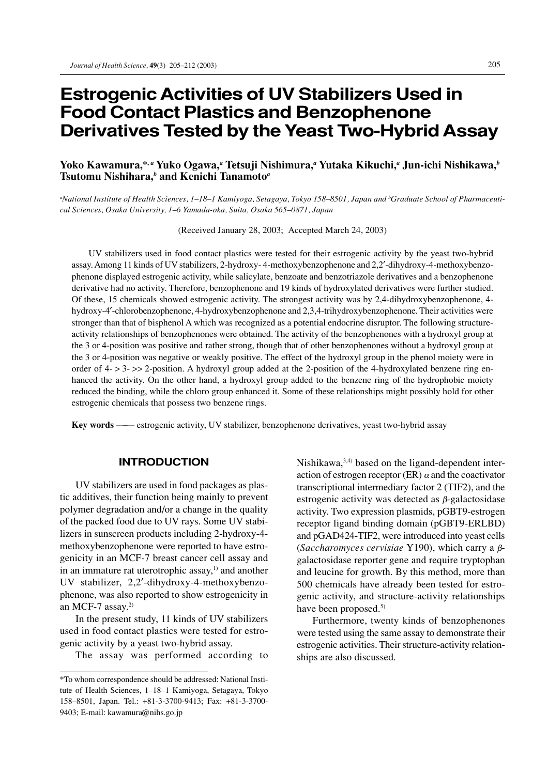# **Estrogenic Activities of UV Stabilizers Used in Food Contact Plastics and Benzophenone Derivatives Tested by the Yeast Two-Hybrid Assay**

# **Yoko Kawamura,\*,** *<sup>a</sup>*  **Yuko Ogawa,***<sup>a</sup>*  **Tetsuji Nishimura,***<sup>a</sup>*  **Yutaka Kikuchi,***<sup>a</sup>*  **Jun-ichi Nishikawa,***<sup>b</sup>* **Tsutomu Nishihara,***<sup>b</sup>*  **and Kenichi Tanamoto***<sup>a</sup>*

*a National Institute of Health Sciences, 1–18–1 Kamiyoga, Setagaya, Tokyo 158–8501, Japan and b Graduate School of Pharmaceutical Sciences, Osaka University, 1–6 Yamada-oka, Suita, Osaka 565–0871, Japan*

(Received January 28, 2003; Accepted March 24, 2003)

UV stabilizers used in food contact plastics were tested for their estrogenic activity by the yeast two-hybrid assay. Among 11 kinds of UV stabilizers, 2-hydroxy- 4-methoxybenzophenone and 2,2′-dihydroxy-4-methoxybenzophenone displayed estrogenic activity, while salicylate, benzoate and benzotriazole derivatives and a benzophenone derivative had no activity. Therefore, benzophenone and 19 kinds of hydroxylated derivatives were further studied. Of these, 15 chemicals showed estrogenic activity. The strongest activity was by 2,4-dihydroxybenzophenone, 4 hydroxy-4′-chlorobenzophenone, 4-hydroxybenzophenone and 2,3,4-trihydroxybenzophenone. Their activities were stronger than that of bisphenol A which was recognized as a potential endocrine disruptor. The following structureactivity relationships of benzophenones were obtained. The activity of the benzophenones with a hydroxyl group at the 3 or 4-position was positive and rather strong, though that of other benzophenones without a hydroxyl group at the 3 or 4-position was negative or weakly positive. The effect of the hydroxyl group in the phenol moiety were in order of 4- > 3- >> 2-position. A hydroxyl group added at the 2-position of the 4-hydroxylated benzene ring enhanced the activity. On the other hand, a hydroxyl group added to the benzene ring of the hydrophobic moiety reduced the binding, while the chloro group enhanced it. Some of these relationships might possibly hold for other estrogenic chemicals that possess two benzene rings.

**Key words** —–— estrogenic activity, UV stabilizer, benzophenone derivatives, yeast two-hybrid assay

# **INTRODUCTION**

UV stabilizers are used in food packages as plastic additives, their function being mainly to prevent polymer degradation and/or a change in the quality of the packed food due to UV rays. Some UV stabilizers in sunscreen products including 2-hydroxy-4 methoxybenzophenone were reported to have estrogenicity in an MCF-7 breast cancer cell assay and in an immature rat uterotrophic assay, $<sup>1</sup>$  and another</sup> UV stabilizer, 2,2′-dihydroxy-4-methoxybenzophenone, was also reported to show estrogenicity in an MCF-7 assay. $2$ 

In the present study, 11 kinds of UV stabilizers used in food contact plastics were tested for estrogenic activity by a yeast two-hybrid assay.

The assay was performed according to

Nishikawa,3,4) based on the ligand-dependent interaction of estrogen receptor (ER)  $\alpha$  and the coactivator transcriptional intermediary factor 2 (TIF2), and the estrogenic activity was detected as  $\beta$ -galactosidase activity. Two expression plasmids, pGBT9-estrogen receptor ligand binding domain (pGBT9-ERLBD) and pGAD424-TIF2, were introduced into yeast cells (*Saccharomyces cervisiae* Y190), which carry a βgalactosidase reporter gene and require tryptophan and leucine for growth. By this method, more than 500 chemicals have already been tested for estrogenic activity, and structure-activity relationships have been proposed.<sup>5)</sup>

Furthermore, twenty kinds of benzophenones were tested using the same assay to demonstrate their estrogenic activities. Their structure-activity relationships are also discussed.

<sup>\*</sup>To whom correspondence should be addressed: National Institute of Health Sciences, 1–18–1 Kamiyoga, Setagaya, Tokyo 158–8501, Japan. Tel.: +81-3-3700-9413; Fax: +81-3-3700- 9403; E-mail: kawamura@nihs.go.jp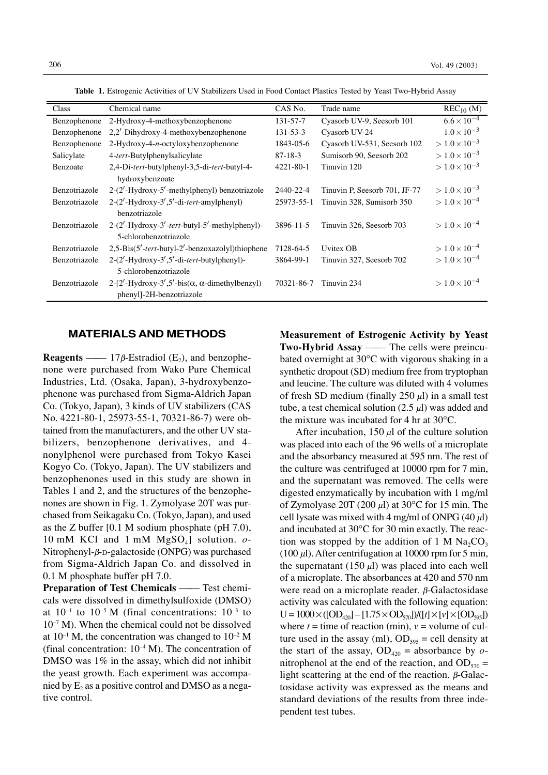| Class         | Chemical name                                                 | CAS No.        | Trade name                    | $REC_{10}$ (M)         |
|---------------|---------------------------------------------------------------|----------------|-------------------------------|------------------------|
| Benzophenone  | 2-Hydroxy-4-methoxybenzophenone                               | 131-57-7       | Cyasorb UV-9, Seesorb 101     | $6.6 \times 10^{-4}$   |
| Benzophenone  | 2,2'-Dihydroxy-4-methoxybenzophenone                          | $131 - 53 - 3$ | Cyasorb UV-24                 | $1.0 \times 10^{-3}$   |
| Benzophenone  | $2-Hydroxy-4-n-octyloxybenzophenone$                          | 1843-05-6      | Cyasorb UV-531, Seesorb 102   | $> 1.0 \times 10^{-3}$ |
| Salicylate    | 4- <i>tert</i> -Butylphenylsalicylate                         | $87 - 18 - 3$  | Sumisorb 90, Seesorb 202      | $> 1.0 \times 10^{-3}$ |
| Benzoate      | 2,4-Di-tert-butylphenyl-3,5-di-tert-butyl-4-                  | 4221-80-1      | Tinuvin 120                   | $> 1.0 \times 10^{-3}$ |
|               | hydroxybenzoate                                               |                |                               |                        |
| Benzotriazole | 2-(2'-Hydroxy-5'-methylphenyl) benzotriazole                  | 2440-22-4      | Tinuvin P, Seesorb 701, JF-77 | $> 1.0 \times 10^{-3}$ |
| Benzotriazole | $2-(2'$ -Hydroxy-3',5'-di-tert-amylphenyl)                    | 25973-55-1     | Tinuvin 328, Sumisorb 350     | $> 1.0 \times 10^{-4}$ |
|               | benzotriazole                                                 |                |                               |                        |
| Benzotriazole | 2-(2'-Hydroxy-3'-tert-butyl-5'-methylphenyl)-                 | 3896-11-5      | Tinuvin 326, Seesorb 703      | $> 1.0 \times 10^{-4}$ |
|               | 5-chlorobenzotriazole                                         |                |                               |                        |
| Benzotriazole | 2,5-Bis(5'-tert-butyl-2'-benzoxazolyl)thiophene               | 7128-64-5      | Uvitex OB                     | $> 1.0 \times 10^{-4}$ |
| Benzotriazole | $2-(2'$ -Hydroxy-3',5'-di- <i>tert</i> -butylphenyl)-         | 3864-99-1      | Tinuvin 327, Seesorb 702      | $> 1.0 \times 10^{-4}$ |
|               | 5-chlorobenzotriazole                                         |                |                               |                        |
| Benzotriazole | 2-[2'-Hydroxy-3',5'-bis( $\alpha$ , $\alpha$ -dimethylbenzyl) | 70321-86-7     | Tinuvin 234                   | $> 1.0 \times 10^{-4}$ |
|               | phenyl]-2H-benzotriazole                                      |                |                               |                        |

**Table 1.** Estrogenic Activities of UV Stabilizers Used in Food Contact Plastics Tested by Yeast Two-Hybrid Assay

### **MATERIALS AND METHODS**

**Reagents** ——  $17\beta$ -Estradiol (E<sub>2</sub>), and benzophenone were purchased from Wako Pure Chemical Industries, Ltd. (Osaka, Japan), 3-hydroxybenzophenone was purchased from Sigma-Aldrich Japan Co. (Tokyo, Japan), 3 kinds of UV stabilizers (CAS No. 4221-80-1, 25973-55-1, 70321-86-7) were obtained from the manufacturers, and the other UV stabilizers, benzophenone derivatives, and 4 nonylphenol were purchased from Tokyo Kasei Kogyo Co. (Tokyo, Japan). The UV stabilizers and benzophenones used in this study are shown in Tables 1 and 2, and the structures of the benzophenones are shown in Fig. 1. Zymolyase 20T was purchased from Seikagaku Co. (Tokyo, Japan), and used as the Z buffer [0.1 M sodium phosphate (pH 7.0), 10 mM KCl and 1 mM  $MgSO<sub>4</sub>$ ] solution.  $o$ -Nitrophenyl-β-D-galactoside (ONPG) was purchased from Sigma-Aldrich Japan Co. and dissolved in 0.1 M phosphate buffer pH 7.0.

**Preparation of Test Chemicals —— Test chemi**cals were dissolved in dimethylsulfoxide (DMSO) at  $10^{-1}$  to  $10^{-5}$  M (final concentrations:  $10^{-3}$  to  $10^{-7}$  M). When the chemical could not be dissolved at  $10^{-1}$  M, the concentration was changed to  $10^{-2}$  M (final concentration:  $10^{-4}$  M). The concentration of DMSO was  $1\%$  in the assay, which did not inhibit the yeast growth. Each experiment was accompanied by  $E_2$  as a positive control and DMSO as a negative control.

**Measurement of Estrogenic Activity by Yeast Two-Hybrid Assay** —— The cells were preincubated overnight at 30°C with vigorous shaking in a synthetic dropout (SD) medium free from tryptophan and leucine. The culture was diluted with 4 volumes of fresh SD medium (finally  $250 \mu l$ ) in a small test tube, a test chemical solution  $(2.5 \mu l)$  was added and the mixture was incubated for 4 hr at 30°C.

After incubation,  $150 \mu l$  of the culture solution was placed into each of the 96 wells of a microplate and the absorbancy measured at 595 nm. The rest of the culture was centrifuged at 10000 rpm for 7 min, and the supernatant was removed. The cells were digested enzymatically by incubation with 1 mg/ml of Zymolyase 20T (200  $\mu$ l) at 30°C for 15 min. The cell lysate was mixed with 4 mg/ml of ONPG  $(40 \mu l)$ and incubated at 30°C for 30 min exactly. The reaction was stopped by the addition of 1 M  $\text{Na}_2\text{CO}_3$ (100  $\mu$ l). After centrifugation at 10000 rpm for 5 min, the supernatant (150  $\mu$ l) was placed into each well of a microplate. The absorbances at 420 and 570 nm were read on a microplate reader. β-Galactosidase activity was calculated with the following equation:  $U = 1000 \times ([OD_{420}] - [1.75 \times OD_{570}]) / ([t] \times [v] \times [OD_{595}])$ where  $t =$  time of reaction (min),  $v =$  volume of culture used in the assay (ml),  $OD<sub>595</sub> = cell density at$ the start of the assay,  $OD_{420} =$  absorbance by *o*nitrophenol at the end of the reaction, and  $OD_{570} =$ light scattering at the end of the reaction.  $β$ -Galactosidase activity was expressed as the means and standard deviations of the results from three independent test tubes.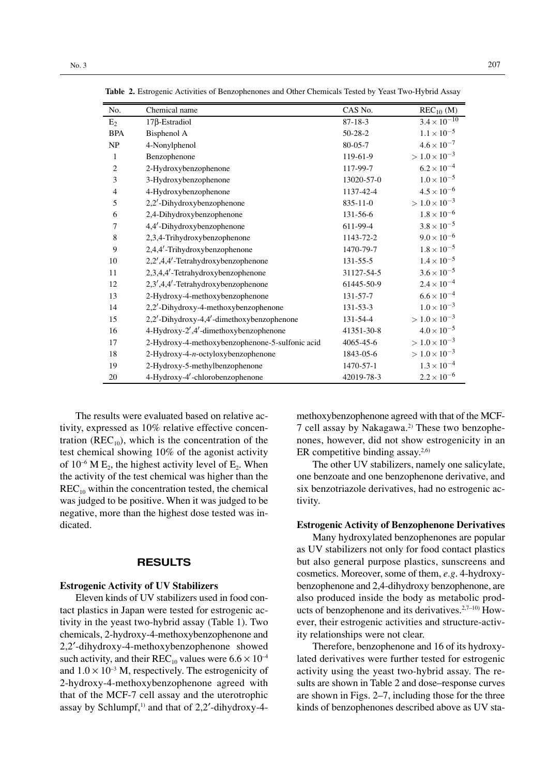| No.            | Chemical name                                   | CAS No.        | $REC_{10}$ (M)         |
|----------------|-------------------------------------------------|----------------|------------------------|
| $E_2$          | $17\beta$ -Estradiol                            | $87 - 18 - 3$  | $3.4 \times 10^{-10}$  |
| <b>BPA</b>     | Bisphenol A                                     | $50 - 28 - 2$  | $1.1 \times 10^{-5}$   |
| NP             | 4-Nonylphenol                                   | $80 - 05 - 7$  | $4.6 \times 10^{-7}$   |
| $\mathbf{1}$   | Benzophenone                                    | 119-61-9       | $> 1.0 \times 10^{-3}$ |
| $\mathbf{2}$   | 2-Hydroxybenzophenone                           | 117-99-7       | $6.2\times10^{-4}$     |
| 3              | 3-Hydroxybenzophenone                           | 13020-57-0     | $1.0\times10^{-5}$     |
| $\overline{4}$ | 4-Hydroxybenzophenone                           | 1137-42-4      | $4.5 \times 10^{-6}$   |
| 5              | 2,2'-Dihydroxybenzophenone                      | $835 - 11 - 0$ | $>1.0\times10^{-3}$    |
| 6              | 2,4-Dihydroxybenzophenone                       | 131-56-6       | $1.8 \times 10^{-6}$   |
| 7              | 4,4'-Dihydroxybenzophenone                      | 611-99-4       | $3.8\times10^{-5}$     |
| $\,$ 8 $\,$    | 2,3,4-Trihydroxybenzophenone                    | 1143-72-2      | $9.0\times10^{-6}$     |
| 9              | 2,4,4'-Trihydroxybenzophenone                   | 1470-79-7      | $1.8 \times 10^{-5}$   |
| 10             | 2,2',4,4'-Tetrahydroxybenzophenone              | $131 - 55 - 5$ | $1.4 \times 10^{-5}$   |
| 11             | 2,3,4,4'-Tetrahydroxybenzophenone               | 31127-54-5     | $3.6\times10^{-5}$     |
| 12             | 2,3',4,4'-Tetrahydroxybenzophenone              | 61445-50-9     | $2.4 \times 10^{-4}$   |
| 13             | 2-Hydroxy-4-methoxybenzophenone                 | 131-57-7       | $6.6 \times 10^{-4}$   |
| 14             | 2,2'-Dihydroxy-4-methoxybenzophenone            | $131 - 53 - 3$ | $1.0\times10^{-3}$     |
| 15             | 2,2'-Dihydroxy-4,4'-dimethoxybenzophenone       | 131-54-4       | $>1.0\times10^{-3}$    |
| 16             | 4-Hydroxy-2',4'-dimethoxybenzophenone           | 41351-30-8     | $4.0\times10^{-5}$     |
| 17             | 2-Hydroxy-4-methoxybenzophenone-5-sulfonic acid | 4065-45-6      | $>1.0\times10^{-3}$    |
| 18             | 2-Hydroxy-4-n-octyloxybenzophenone              | 1843-05-6      | $>1.0\times10^{-3}$    |
| 19             | 2-Hydroxy-5-methylbenzophenone                  | 1470-57-1      | $1.3\times10^{-4}$     |
| 20             | 4-Hydroxy-4'-chlorobenzophenone                 | 42019-78-3     | $2.2 \times 10^{-6}$   |

**Table 2.** Estrogenic Activities of Benzophenones and Other Chemicals Tested by Yeast Two-Hybrid Assay

The results were evaluated based on relative activity, expressed as 10% relative effective concentration ( $REC_{10}$ ), which is the concentration of the test chemical showing 10% of the agonist activity of  $10^{-6}$  M E<sub>2</sub>, the highest activity level of E<sub>2</sub>. When the activity of the test chemical was higher than the  $REC<sub>10</sub>$  within the concentration tested, the chemical was judged to be positive. When it was judged to be negative, more than the highest dose tested was indicated.

## **RESULTS**

#### **Estrogenic Activity of UV Stabilizers**

Eleven kinds of UV stabilizers used in food contact plastics in Japan were tested for estrogenic activity in the yeast two-hybrid assay (Table 1). Two chemicals, 2-hydroxy-4-methoxybenzophenone and 2,2′-dihydroxy-4-methoxybenzophenone showed such activity, and their REC<sub>10</sub> values were  $6.6 \times 10^{-4}$ and  $1.0 \times 10^{-3}$  M, respectively. The estrogenicity of 2-hydroxy-4-methoxybenzophenone agreed with that of the MCF-7 cell assay and the uterotrophic assay by Schlumpf, $1)$  and that of 2,2'-dihydroxy-4methoxybenzophenone agreed with that of the MCF-7 cell assay by Nakagawa.2) These two benzophenones, however, did not show estrogenicity in an ER competitive binding assay. $2,6$ )

The other UV stabilizers, namely one salicylate, one benzoate and one benzophenone derivative, and six benzotriazole derivatives, had no estrogenic activity.

#### **Estrogenic Activity of Benzophenone Derivatives**

Many hydroxylated benzophenones are popular as UV stabilizers not only for food contact plastics but also general purpose plastics, sunscreens and cosmetics. Moreover, some of them, *e.g*. 4-hydroxybenzophenone and 2,4-dihydroxy benzophenone, are also produced inside the body as metabolic products of benzophenone and its derivatives. $2,7-10$  However, their estrogenic activities and structure-activity relationships were not clear.

Therefore, benzophenone and 16 of its hydroxylated derivatives were further tested for estrogenic activity using the yeast two-hybrid assay. The results are shown in Table 2 and dose–response curves are shown in Figs. 2–7, including those for the three kinds of benzophenones described above as UV sta-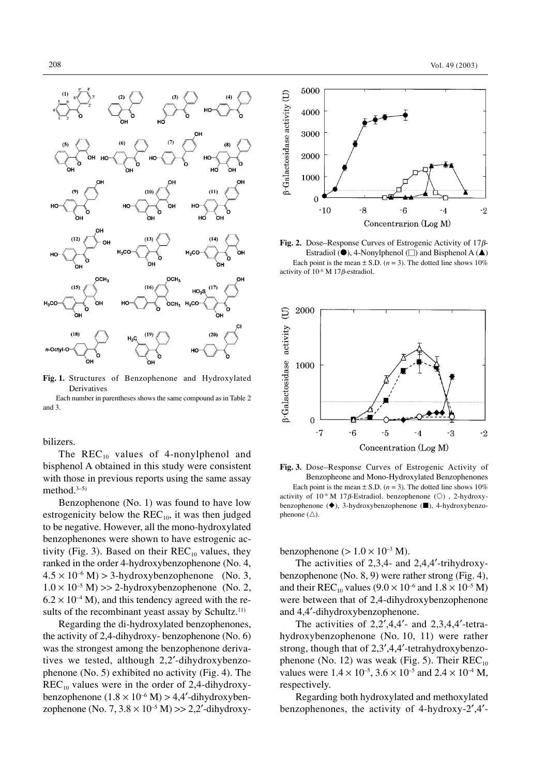

**Fig. 1.** Structures of Benzophenone and Hydroxylated Derivatives

Each number in parentheses shows the same compound as in Table 2 and 3.

## bilizers.

The  $REC_{10}$  values of 4-nonylphenol and bisphenol A obtained in this study were consistent with those in previous reports using the same assay method. $3-5$ )

Benzophenone (No. 1) was found to have low estrogenicity below the  $REC_{10}$ , it was then judged to be negative. However, all the mono-hydroxylated benzophenones were shown to have estrogenic activity (Fig. 3). Based on their  $REC_{10}$  values, they ranked in the order 4-hydroxybenzophenone (No. 4,  $4.5 \times 10^{-6}$  M) > 3-hydroxybenzophenone (No. 3,  $1.0 \times 10^{-5}$  M) >> 2-hydroxybenzophenone (No. 2,  $6.2 \times 10^{-4}$  M), and this tendency agreed with the results of the recombinant yeast assay by Schultz.<sup>11)</sup>

Regarding the di-hydroxylated benzophenones, the activity of 2,4-dihydroxy- benzophenone (No. 6) was the strongest among the benzophenone derivatives we tested, although 2,2′-dihydroxybenzophenone (No. 5) exhibited no activity (Fig. 4). The  $REC_{10}$  values were in the order of 2,4-dihydroxybenzophenone  $(1.8 \times 10^{-6} \text{ M}) > 4.4'$ -dihydroxybenzophenone (No. 7,  $3.8 \times 10^{-5}$  M) >> 2,2'-dihydroxy-



**Fig. 2.** Dose–Response Curves of Estrogenic Activity of 17β-Estradiol ( $\bullet$ ), 4-Nonylphenol ( $\square$ ) and Bisphenol A ( $\blacktriangle$ ) Each point is the mean  $\pm$  S.D. ( $n = 3$ ). The dotted line shows 10% activity of 10–6 M 17β-estradiol.



**Fig. 3.** Dose–Response Curves of Estrogenic Activity of Benzopheone and Mono-Hydroxylated Benzophenones Each point is the mean  $\pm$  S.D. ( $n = 3$ ). The dotted line shows 10% activity of  $10^{-6}$  M 17β-Estradiol. benzophenone ( $\circ$ ), 2-hydroxybenzophenone ( $\blacklozenge$ ), 3-hydroxybenzophenone ( $\blacksquare$ ), 4-hydroxybenzophenone  $(\wedge)$ .

benzophenone ( $> 1.0 \times 10^{-3}$  M).

The activities of 2,3,4- and 2,4,4'-trihydroxybenzophenone (No. 8, 9) were rather strong (Fig. 4), and their  $REC_{10}$  values  $(9.0 \times 10^{-6}$  and  $1.8 \times 10^{-5}$  M) were between that of 2,4-dihydroxybenzophenone and 4,4′-dihydroxybenzophenone.

The activities of  $2,2',4,4'$ - and  $2,3,4,4'$ -tetrahydroxybenzophenone (No. 10, 11) were rather strong, though that of 2,3′,4,4′-tetrahydroxybenzophenone (No. 12) was weak (Fig. 5). Their  $REC_{10}$ values were  $1.4 \times 10^{-5}$ ,  $3.6 \times 10^{-5}$  and  $2.4 \times 10^{-4}$  M, respectively.

Regarding both hydroxylated and methoxylated benzophenones, the activity of 4-hydroxy-2′,4′-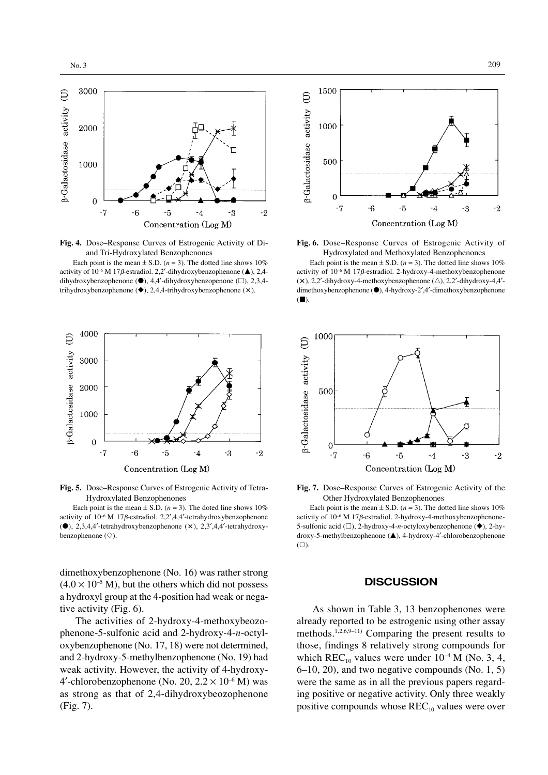

**Fig. 4.** Dose–Response Curves of Estrogenic Activity of Diand Tri-Hydroxylated Benzophenones

Each point is the mean  $\pm$  S.D. (*n* = 3). The dotted line shows 10% activity of  $10^{-6}$  M 17*B*-estradiol. 2,2'-dihydroxybenzophenone ( $\triangle$ ), 2,4dihydroxybenzophenone  $(\bullet)$ , 4,4'-dihydroxybenzopenone  $(\square)$ , 2,3,4trihydroxybenzophenone  $(\blacklozenge)$ , 2,4,4-trihydroxybenzophenone  $(\times)$ .



**Fig. 5.** Dose–Response Curves of Estrogenic Activity of Tetra-Hydroxylated Benzophenones

Each point is the mean  $\pm$  S.D. ( $n = 3$ ). The doted line shows 10% activity of  $10^{-6}$  M 17 $\beta$ -estradiol. 2,2',4,4'-tetrahydroxybenzophenone  $(•)$ , 2,3,4,4'-tetrahydroxybenzophenone  $(x)$ , 2,3',4,4'-tetrahydroxybenzophenone  $(\diamondsuit)$ .

dimethoxybenzophenone (No. 16) was rather strong  $(4.0 \times 10^{-5} \text{ M})$ , but the others which did not possess a hydroxyl group at the 4-position had weak or negative activity (Fig. 6).

The activities of 2-hydroxy-4-methoxybeozophenone-5-sulfonic acid and 2-hydroxy-4-*n*-octyloxybenzophenone (No. 17, 18) were not determined, and 2-hydroxy-5-methylbenzophenone (No. 19) had weak activity. However, the activity of 4-hydroxy-4'-chlorobenzophenone (No. 20,  $2.2 \times 10^{-6}$  M) was as strong as that of 2,4-dihydroxybeozophenone (Fig. 7).



**Fig. 6.** Dose–Response Curves of Estrogenic Activity of Hydroxylated and Methoxylated Benzophenones

Each point is the mean  $\pm$  S.D. ( $n = 3$ ). The dotted line shows 10% activity of 10–6 M 17β-estradiol. 2-hydroxy-4-methoxybenzophenone  $(x)$ , 2,2'-dihydroxy-4-methoxybenzophenone  $(\triangle)$ , 2,2'-dihydroxy-4,4'dimethoxybenzophenone (●), 4-hydroxy-2',4'-dimethoxybenzophenone  $($ 



**Fig. 7.** Dose–Response Curves of Estrogenic Activity of the Other Hydroxylated Benzophenones

Each point is the mean  $\pm$  S.D. ( $n = 3$ ). The dotted line shows 10% activity of 10–6 M 17β-estradiol. 2-hydroxy-4-methoxybenzophenone-5-sulfonic acid ( $\square$ ), 2-hydroxy-4-*n*-octyloxybenzophenone ( $\blacklozenge$ ), 2-hydroxy-5-methylbenzophenone (▲), 4-hydroxy-4'-chlorobenzophenone  $($  $\bigcirc$ ).

## **DISCUSSION**

As shown in Table 3, 13 benzophenones were already reported to be estrogenic using other assay methods.1,2,6,9–11) Comparing the present results to those, findings 8 relatively strong compounds for which REC<sub>10</sub> values were under  $10^{-4}$  M (No. 3, 4, 6–10, 20), and two negative compounds (No. 1, 5) were the same as in all the previous papers regarding positive or negative activity. Only three weakly positive compounds whose  $REC_{10}$  values were over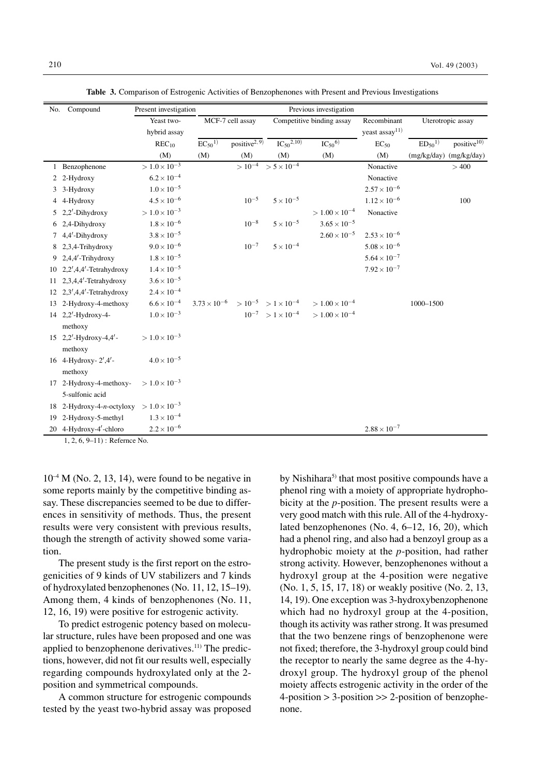| No. Compound                   |                              | Previous investigation<br>Present investigation |                                                        |                           |                                    |                           |                            |                               |                         |
|--------------------------------|------------------------------|-------------------------------------------------|--------------------------------------------------------|---------------------------|------------------------------------|---------------------------|----------------------------|-------------------------------|-------------------------|
|                                |                              | Yeast two-                                      | MCF-7 cell assay                                       |                           |                                    | Competitive binding assay | Recombinant                |                               | Uterotropic assay       |
|                                |                              | hybrid assay                                    |                                                        |                           |                                    |                           | yeast assay <sup>11)</sup> |                               |                         |
|                                |                              | $REC_{10}$                                      | $EC_{50}$ <sup>1)</sup>                                | positive <sup>2, 9)</sup> | $IC_{50}^{2,10}$                   | $IC_{50}^{6)}$            | $EC_{50}$                  | ED <sub>50</sub> <sup>1</sup> | positive <sup>10)</sup> |
|                                |                              | (M)                                             | (M)                                                    | (M)                       | (M)                                | (M)                       | (M)                        | (mg/kg/day) (mg/kg/day)       |                         |
|                                | 1 Benzophenone               | $> 1.0 \times 10^{-3}$                          |                                                        |                           | $> 10^{-4}$ > 5 × 10 <sup>-4</sup> |                           | Nonactive                  |                               | >400                    |
|                                | 2 2-Hydroxy                  | $6.2 \times 10^{-4}$                            |                                                        |                           |                                    |                           | Nonactive                  |                               |                         |
|                                | 3-Hydroxy                    | $1.0 \times 10^{-5}$                            |                                                        |                           |                                    |                           | $2.57 \times 10^{-6}$      |                               |                         |
|                                | 4 4-Hydroxy                  | $4.5 \times 10^{-6}$                            |                                                        | $10^{-5}$                 | $5 \times 10^{-5}$                 |                           | $1.12 \times 10^{-6}$      |                               | 100                     |
| 5                              | $2,2'$ -Dihydroxy            | $>1.0\times10^{-3}$                             |                                                        |                           |                                    | $> 1.00 \times 10^{-4}$   | Nonactive                  |                               |                         |
|                                | 2,4-Dihydroxy                | $1.8 \times 10^{-6}$                            |                                                        | $10^{-8}$                 | $5\times10^{-5}$                   | $3.65 \times 10^{-5}$     |                            |                               |                         |
|                                | 4,4'-Dihydroxy               | $3.8\times10^{-5}$                              |                                                        |                           |                                    | $2.60 \times 10^{-5}$     | $2.53 \times 10^{-6}$      |                               |                         |
|                                | 8 2,3,4-Trihydroxy           | $9.0 \times 10^{-6}$                            |                                                        | $10^{-7}$                 | $5 \times 10^{-4}$                 |                           | $5.08\times10^{-6}$        |                               |                         |
|                                | 9 $2.4.4'$ -Trihydroxy       | $1.8 \times 10^{-5}$                            |                                                        |                           |                                    |                           | $5.64 \times 10^{-7}$      |                               |                         |
| 10                             | $2,2',4,4'$ -Tetrahydroxy    | $1.4 \times 10^{-5}$                            |                                                        |                           |                                    |                           | $7.92 \times 10^{-7}$      |                               |                         |
| 11                             | 2,3,4,4'-Tetrahydroxy        | $3.6 \times 10^{-5}$                            |                                                        |                           |                                    |                           |                            |                               |                         |
|                                | 12 $2,3',4,4'$ -Tetrahydroxy | $2.4 \times 10^{-4}$                            |                                                        |                           |                                    |                           |                            |                               |                         |
| 13                             | 2-Hydroxy-4-methoxy          | $6.6 \times 10^{-4}$                            | $3.73 \times 10^{-6}$ > $10^{-5}$ > $1 \times 10^{-4}$ |                           |                                    | $> 1.00 \times 10^{-4}$   |                            | 1000-1500                     |                         |
|                                | 14 2,2'-Hydroxy-4-           | $1.0 \times 10^{-3}$                            |                                                        |                           | $10^{-7}$ > $1 \times 10^{-4}$     | $> 1.00 \times 10^{-4}$   |                            |                               |                         |
|                                | methoxy                      |                                                 |                                                        |                           |                                    |                           |                            |                               |                         |
|                                | 15 2,2'-Hydroxy-4,4'-        | $> 1.0 \times 10^{-3}$                          |                                                        |                           |                                    |                           |                            |                               |                         |
|                                | methoxy                      |                                                 |                                                        |                           |                                    |                           |                            |                               |                         |
|                                | 16 4-Hydroxy- $2', 4'$ -     | $4.0 \times 10^{-5}$                            |                                                        |                           |                                    |                           |                            |                               |                         |
|                                | methoxy                      |                                                 |                                                        |                           |                                    |                           |                            |                               |                         |
| 17                             | 2-Hydroxy-4-methoxy-         | $> 1.0 \times 10^{-3}$                          |                                                        |                           |                                    |                           |                            |                               |                         |
|                                | 5-sulfonic acid              |                                                 |                                                        |                           |                                    |                           |                            |                               |                         |
| 18                             | 2-Hydroxy-4-n-octyloxy       | $> 1.0 \times 10^{-3}$                          |                                                        |                           |                                    |                           |                            |                               |                         |
| 19                             | 2-Hydroxy-5-methyl           | $1.3 \times 10^{-4}$                            |                                                        |                           |                                    |                           |                            |                               |                         |
|                                | 20 4-Hydroxy-4'-chloro       | $2.2 \times 10^{-6}$                            |                                                        |                           |                                    |                           | $2.88\times10^{-7}$        |                               |                         |
| $1, 2, 6, 9-11$ : Refernce No. |                              |                                                 |                                                        |                           |                                    |                           |                            |                               |                         |

**Table 3.** Comparison of Estrogenic Activities of Benzophenones with Present and Previous Investigations

 $10^{-4}$  M (No. 2, 13, 14), were found to be negative in some reports mainly by the competitive binding assay. These discrepancies seemed to be due to differ-

ences in sensitivity of methods. Thus, the present results were very consistent with previous results, though the strength of activity showed some variation.

The present study is the first report on the estrogenicities of 9 kinds of UV stabilizers and 7 kinds of hydroxylated benzophenones (No. 11, 12, 15–19). Among them, 4 kinds of benzophenones (No. 11, 12, 16, 19) were positive for estrogenic activity.

To predict estrogenic potency based on molecular structure, rules have been proposed and one was applied to benzophenone derivatives. $11)$  The predictions, however, did not fit our results well, especially regarding compounds hydroxylated only at the 2 position and symmetrical compounds.

A common structure for estrogenic compounds tested by the yeast two-hybrid assay was proposed by Nishihara<sup>5)</sup> that most positive compounds have a phenol ring with a moiety of appropriate hydrophobicity at the *p*-position. The present results were a very good match with this rule. All of the 4-hydroxylated benzophenones (No. 4, 6–12, 16, 20), which had a phenol ring, and also had a benzoyl group as a hydrophobic moiety at the *p*-position, had rather strong activity. However, benzophenones without a hydroxyl group at the 4-position were negative (No. 1, 5, 15, 17, 18) or weakly positive (No. 2, 13, 14, 19). One exception was 3-hydroxybenzophenone which had no hydroxyl group at the 4-position, though its activity was rather strong. It was presumed that the two benzene rings of benzophenone were not fixed; therefore, the 3-hydroxyl group could bind the receptor to nearly the same degree as the 4-hydroxyl group. The hydroxyl group of the phenol moiety affects estrogenic activity in the order of the  $4$ -position  $> 3$ -position  $>> 2$ -position of benzophenone.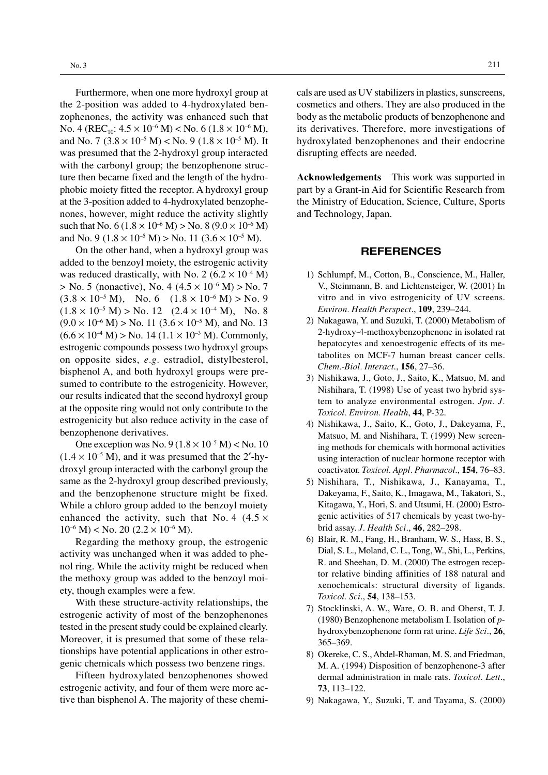Furthermore, when one more hydroxyl group at the 2-position was added to 4-hydroxylated benzophenones, the activity was enhanced such that No. 4 ( $REC_{10}$ :  $4.5 \times 10^{-6}$  M) < No. 6 ( $1.8 \times 10^{-6}$  M), and No. 7  $(3.8 \times 10^{-5} \text{ M}) <$  No. 9  $(1.8 \times 10^{-5} \text{ M})$ . It was presumed that the 2-hydroxyl group interacted with the carbonyl group; the benzophenone structure then became fixed and the length of the hydrophobic moiety fitted the receptor. A hydroxyl group at the 3-position added to 4-hydroxylated benzophenones, however, might reduce the activity slightly such that No.  $6 (1.8 \times 10^{-6} \text{ M})$  > No.  $8 (9.0 \times 10^{-6} \text{ M})$ and No. 9 ( $1.8 \times 10^{-5}$  M) > No. 11 ( $3.6 \times 10^{-5}$  M).

On the other hand, when a hydroxyl group was added to the benzoyl moiety, the estrogenic activity was reduced drastically, with No. 2 ( $6.2 \times 10^{-4}$  M)  $>$  No. 5 (nonactive), No. 4 (4.5  $\times$  10<sup>-6</sup> M)  $>$  No. 7  $(3.8 \times 10^{-5} \text{ M})$ , No. 6  $(1.8 \times 10^{-6} \text{ M})$  > No. 9  $(1.8 \times 10^{-5} \text{ M})$  > No. 12  $(2.4 \times 10^{-4} \text{ M})$ , No. 8  $(9.0 \times 10^{-6} \text{ M})$  > No. 11  $(3.6 \times 10^{-5} \text{ M})$ , and No. 13  $(6.6 \times 10^{-4} \text{ M})$  > No. 14 (1.1  $\times$  10<sup>-3</sup> M). Commonly, estrogenic compounds possess two hydroxyl groups on opposite sides, *e.g.* estradiol, distylbesterol, bisphenol A, and both hydroxyl groups were presumed to contribute to the estrogenicity. However, our results indicated that the second hydroxyl group at the opposite ring would not only contribute to the estrogenicity but also reduce activity in the case of benzophenone derivatives.

One exception was No.  $9(1.8 \times 10^{-5} \text{ M}) <$  No. 10  $(1.4 \times 10^{-5} \text{ M})$ , and it was presumed that the 2'-hydroxyl group interacted with the carbonyl group the same as the 2-hydroxyl group described previously, and the benzophenone structure might be fixed. While a chloro group added to the benzoyl moiety enhanced the activity, such that No. 4  $(4.5 \times$  $10^{-6}$  M) < No. 20 (2.2 × 10<sup>-6</sup> M).

Regarding the methoxy group, the estrogenic activity was unchanged when it was added to phenol ring. While the activity might be reduced when the methoxy group was added to the benzoyl moiety, though examples were a few.

With these structure-activity relationships, the estrogenic activity of most of the benzophenones tested in the present study could be explained clearly. Moreover, it is presumed that some of these relationships have potential applications in other estrogenic chemicals which possess two benzene rings.

Fifteen hydroxylated benzophenones showed estrogenic activity, and four of them were more active than bisphenol A. The majority of these chemicals are used as UV stabilizers in plastics, sunscreens, cosmetics and others. They are also produced in the body as the metabolic products of benzophenone and its derivatives. Therefore, more investigations of hydroxylated benzophenones and their endocrine disrupting effects are needed.

**Acknowledgements** This work was supported in part by a Grant-in Aid for Scientific Research from the Ministry of Education, Science, Culture, Sports and Technology, Japan.

## **REFERENCES**

- 1) Schlumpf, M., Cotton, B., Conscience, M., Haller, V., Steinmann, B. and Lichtensteiger, W. (2001) In vitro and in vivo estrogenicity of UV screens. *Environ. Health Perspect*., **109**, 239–244.
- 2) Nakagawa, Y. and Suzuki, T. (2000) Metabolism of 2-hydroxy-4-methoxybenzophenone in isolated rat hepatocytes and xenoestrogenic effects of its metabolites on MCF-7 human breast cancer cells. *Chem.-Biol. Interact*., **156**, 27–36.
- 3) Nishikawa, J., Goto, J., Saito, K., Matsuo, M. and Nishihara, T. (1998) Use of yeast two hybrid system to analyze environmental estrogen. *Jpn. J. Toxicol. Environ. Health*, **44**, P-32.
- 4) Nishikawa, J., Saito, K., Goto, J., Dakeyama, F., Matsuo, M. and Nishihara, T. (1999) New screening methods for chemicals with hormonal activities using interaction of nuclear hormone receptor with coactivator. *Toxicol. Appl. Pharmacol*., **154**, 76–83.
- 5) Nishihara, T., Nishikawa, J., Kanayama, T., Dakeyama, F., Saito, K., Imagawa, M., Takatori, S., Kitagawa, Y., Hori, S. and Utsumi, H. (2000) Estrogenic activities of 517 chemicals by yeast two-hybrid assay. *J. Health Sci*., **46**, 282–298.
- 6) Blair, R. M., Fang, H., Branham, W. S., Hass, B. S., Dial, S. L., Moland, C. L., Tong, W., Shi, L., Perkins, R. and Sheehan, D. M. (2000) The estrogen receptor relative binding affinities of 188 natural and xenochemicals: structural diversity of ligands. *Toxicol. Sci*., **54**, 138–153.
- 7) Stocklinski, A. W., Ware, O. B. and Oberst, T. J. (1980) Benzophenone metabolism I. Isolation of *p*hydroxybenzophenone form rat urine. *Life Sci*., **26**, 365–369.
- 8) Okereke, C. S., Abdel-Rhaman, M. S. and Friedman, M. A. (1994) Disposition of benzophenone-3 after dermal administration in male rats. *Toxicol. Lett*., **73**, 113–122.
- 9) Nakagawa, Y., Suzuki, T. and Tayama, S. (2000)